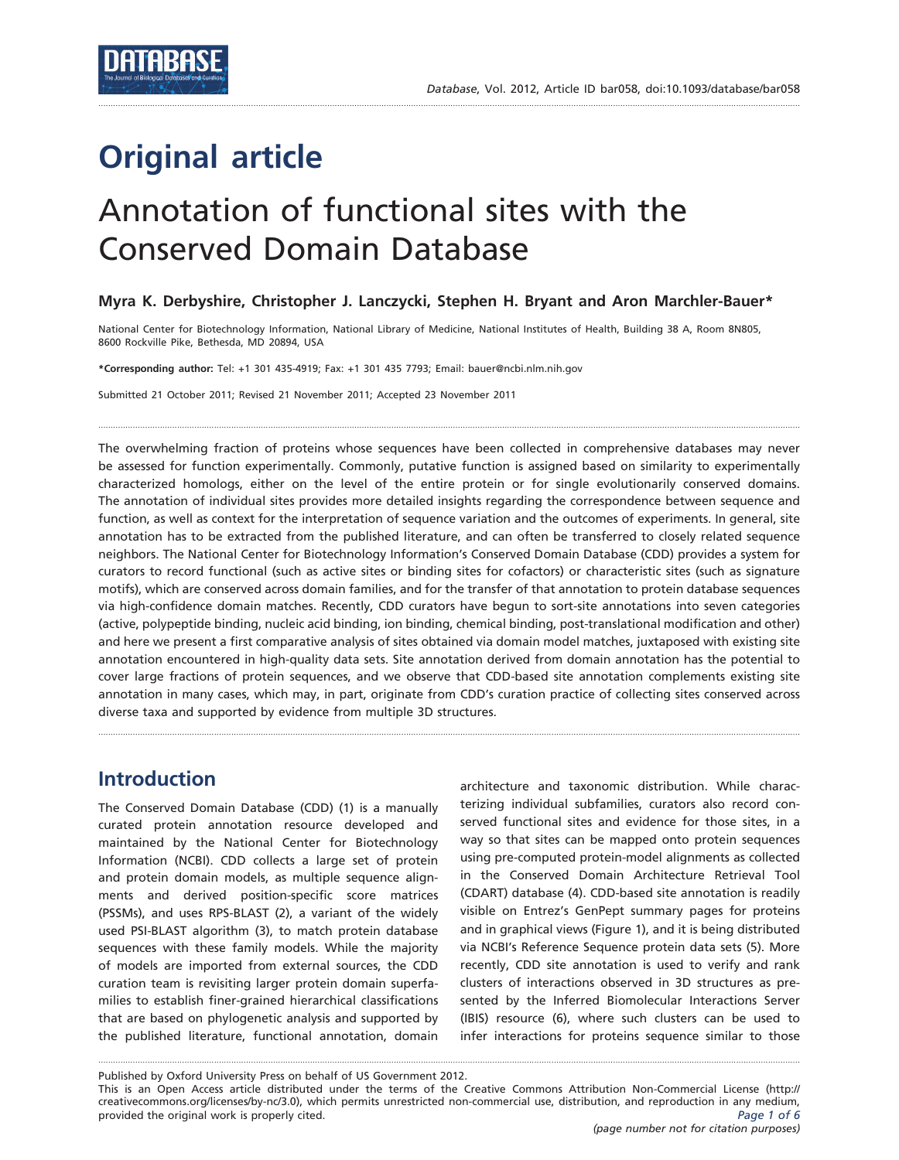# Original article

# Annotation of functional sites with the Conserved Domain Database

### Myra K. Derbyshire, Christopher J. Lanczycki, Stephen H. Bryant and Aron Marchler-Bauer\*

.............................................................................................................................................................................................................................................................................................

National Center for Biotechnology Information, National Library of Medicine, National Institutes of Health, Building 38 A, Room 8N805, 8600 Rockville Pike, Bethesda, MD 20894, USA

\*Corresponding author: Tel: +1 301 435-4919; Fax: +1 301 435 7793; Email: bauer@ncbi.nlm.nih.gov

Submitted 21 October 2011; Revised 21 November 2011; Accepted 23 November 2011

The overwhelming fraction of proteins whose sequences have been collected in comprehensive databases may never be assessed for function experimentally. Commonly, putative function is assigned based on similarity to experimentally characterized homologs, either on the level of the entire protein or for single evolutionarily conserved domains. The annotation of individual sites provides more detailed insights regarding the correspondence between sequence and function, as well as context for the interpretation of sequence variation and the outcomes of experiments. In general, site annotation has to be extracted from the published literature, and can often be transferred to closely related sequence neighbors. The National Center for Biotechnology Information's Conserved Domain Database (CDD) provides a system for curators to record functional (such as active sites or binding sites for cofactors) or characteristic sites (such as signature motifs), which are conserved across domain families, and for the transfer of that annotation to protein database sequences via high-confidence domain matches. Recently, CDD curators have begun to sort-site annotations into seven categories (active, polypeptide binding, nucleic acid binding, ion binding, chemical binding, post-translational modification and other) and here we present a first comparative analysis of sites obtained via domain model matches, juxtaposed with existing site annotation encountered in high-quality data sets. Site annotation derived from domain annotation has the potential to cover large fractions of protein sequences, and we observe that CDD-based site annotation complements existing site annotation in many cases, which may, in part, originate from CDD's curation practice of collecting sites conserved across diverse taxa and supported by evidence from multiple 3D structures.

.............................................................................................................................................................................................................................................................................................

.............................................................................................................................................................................................................................................................................................

# Introduction

The Conserved Domain Database (CDD) ([1](#page-4-0)) is a manually curated protein annotation resource developed and maintained by the National Center for Biotechnology Information (NCBI). CDD collects a large set of protein and protein domain models, as multiple sequence alignments and derived position-specific score matrices (PSSMs), and uses RPS-BLAST [\(2\)](#page-5-0), a variant of the widely used PSI-BLAST algorithm ([3](#page-5-0)), to match protein database sequences with these family models. While the majority of models are imported from external sources, the CDD curation team is revisiting larger protein domain superfamilies to establish finer-grained hierarchical classifications that are based on phylogenetic analysis and supported by the published literature, functional annotation, domain architecture and taxonomic distribution. While characterizing individual subfamilies, curators also record conserved functional sites and evidence for those sites, in a way so that sites can be mapped onto protein sequences using pre-computed protein-model alignments as collected in the Conserved Domain Architecture Retrieval Tool (CDART) database ([4](#page-5-0)). CDD-based site annotation is readily visible on Entrez's GenPept summary pages for proteins and in graphical views ([Figure 1](#page-1-0)), and it is being distributed via NCBI's Reference Sequence protein data sets [\(5](#page-5-0)). More recently, CDD site annotation is used to verify and rank clusters of interactions observed in 3D structures as presented by the Inferred Biomolecular Interactions Server (IBIS) resource [\(6\)](#page-5-0), where such clusters can be used to infer interactions for proteins sequence similar to those

.............................................................................................................................................................................................................................................................................................

Published by Oxford University Press on behalf of US Government 2012.

This is an Open Access article distributed under the terms of the Creative Commons Attribution Non-Commercial License (http:// creativecommons.org/licenses/by-nc/3.0), which permits unrestricted non-commercial use, distribution, and reproduction in any medium, provided the original work is properly cited. Page 1 of 6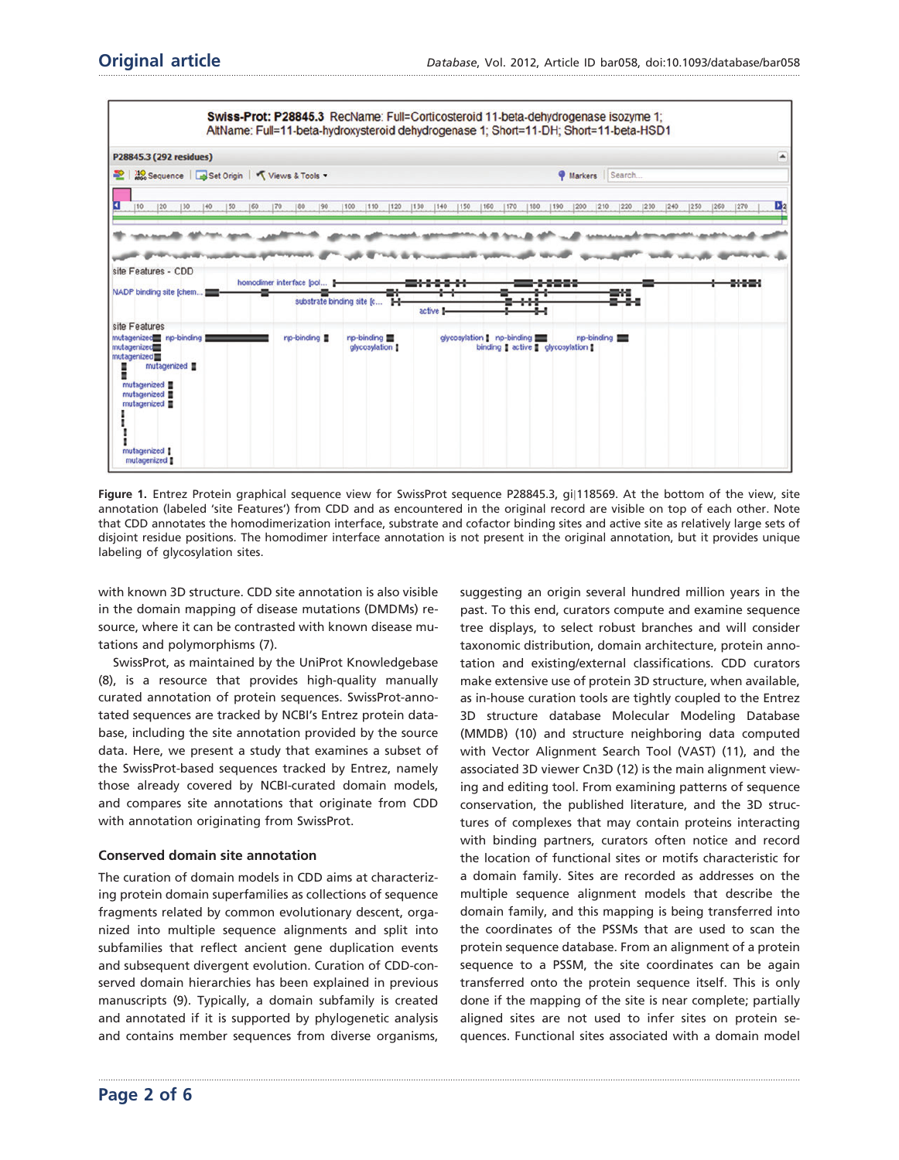<span id="page-1-0"></span>

Figure 1. Entrez Protein graphical sequence view for SwissProt sequence P28845.3, gij118569. At the bottom of the view, site annotation (labeled 'site Features') from CDD and as encountered in the original record are visible on top of each other. Note that CDD annotates the homodimerization interface, substrate and cofactor binding sites and active site as relatively large sets of disjoint residue positions. The homodimer interface annotation is not present in the original annotation, but it provides unique labeling of glycosylation sites.

.............................................................................................................................................................................................................................................................................................

with known 3D structure. CDD site annotation is also visible in the domain mapping of disease mutations (DMDMs) resource, where it can be contrasted with known disease mutations and polymorphisms [\(7](#page-5-0)).

SwissProt, as maintained by the UniProt Knowledgebase ([8](#page-5-0)), is a resource that provides high-quality manually curated annotation of protein sequences. SwissProt-annotated sequences are tracked by NCBI's Entrez protein database, including the site annotation provided by the source data. Here, we present a study that examines a subset of the SwissProt-based sequences tracked by Entrez, namely those already covered by NCBI-curated domain models, and compares site annotations that originate from CDD with annotation originating from SwissProt.

#### Conserved domain site annotation

The curation of domain models in CDD aims at characterizing protein domain superfamilies as collections of sequence fragments related by common evolutionary descent, organized into multiple sequence alignments and split into subfamilies that reflect ancient gene duplication events and subsequent divergent evolution. Curation of CDD-conserved domain hierarchies has been explained in previous manuscripts ([9](#page-5-0)). Typically, a domain subfamily is created and annotated if it is supported by phylogenetic analysis and contains member sequences from diverse organisms,

past. To this end, curators compute and examine sequence tree displays, to select robust branches and will consider taxonomic distribution, domain architecture, protein annotation and existing/external classifications. CDD curators make extensive use of protein 3D structure, when available, as in-house curation tools are tightly coupled to the Entrez 3D structure database Molecular Modeling Database (MMDB) ([10](#page-5-0)) and structure neighboring data computed with Vector Alignment Search Tool (VAST) ([11](#page-5-0)), and the associated 3D viewer Cn3D [\(12](#page-5-0)) is the main alignment viewing and editing tool. From examining patterns of sequence conservation, the published literature, and the 3D structures of complexes that may contain proteins interacting with binding partners, curators often notice and record the location of functional sites or motifs characteristic for a domain family. Sites are recorded as addresses on the multiple sequence alignment models that describe the domain family, and this mapping is being transferred into the coordinates of the PSSMs that are used to scan the protein sequence database. From an alignment of a protein sequence to a PSSM, the site coordinates can be again transferred onto the protein sequence itself. This is only done if the mapping of the site is near complete; partially aligned sites are not used to infer sites on protein sequences. Functional sites associated with a domain model

suggesting an origin several hundred million years in the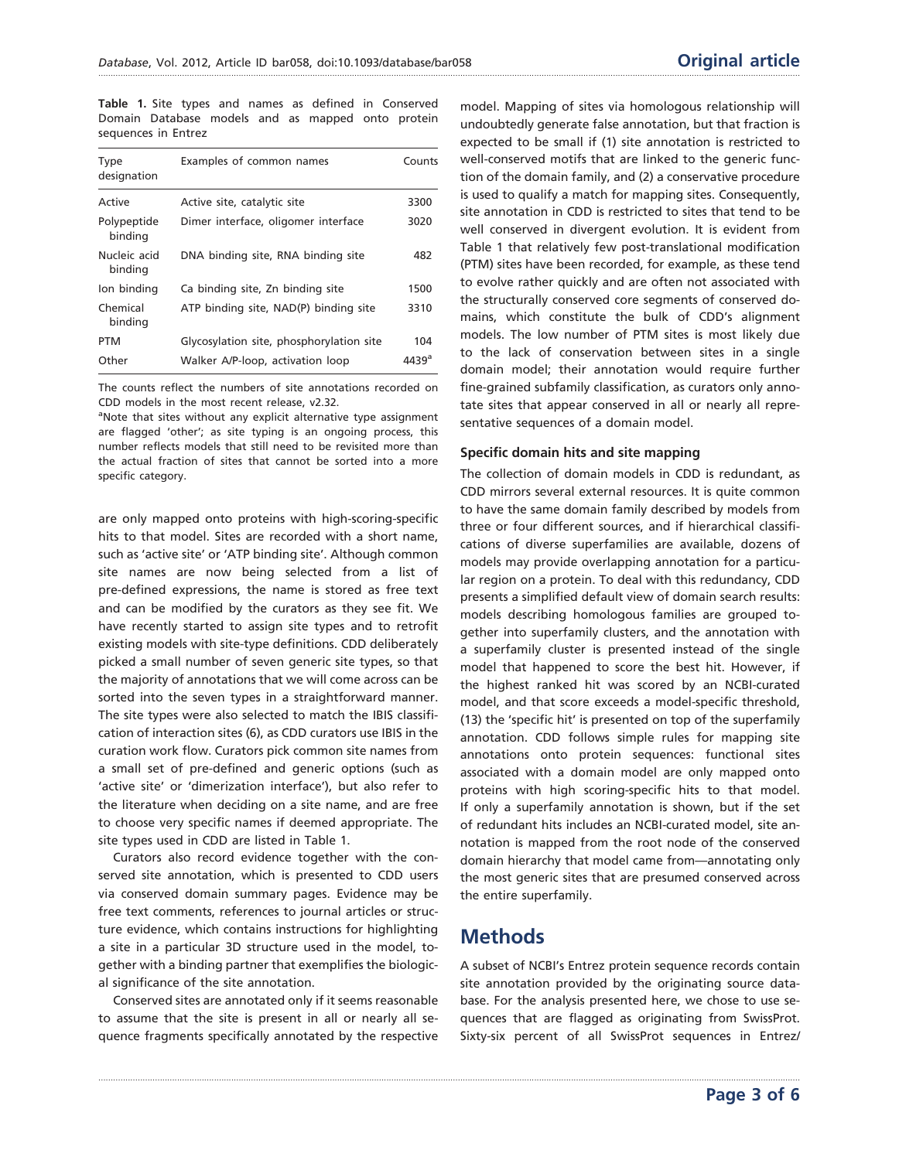<span id="page-2-0"></span>Table 1. Site types and names as defined in Conserved Domain Database models and as mapped onto protein sequences in Entrez

| Type<br>designation     | Examples of common names                 | Counts |
|-------------------------|------------------------------------------|--------|
| Active                  | Active site, catalytic site              | 3300   |
| Polypeptide<br>binding  | Dimer interface, oligomer interface      | 3020   |
| Nucleic acid<br>binding | DNA binding site, RNA binding site       | 482    |
| Ion binding             | Ca binding site, Zn binding site         | 1500   |
| Chemical<br>binding     | ATP binding site, NAD(P) binding site    | 3310   |
| <b>PTM</b>              | Glycosylation site, phosphorylation site | 104    |
| Other                   | Walker A/P-loop, activation loop         | 4439ª  |

The counts reflect the numbers of site annotations recorded on CDD models in the most recent release, v2.32.

<sup>a</sup>Note that sites without any explicit alternative type assignment are flagged 'other'; as site typing is an ongoing process, this number reflects models that still need to be revisited more than the actual fraction of sites that cannot be sorted into a more specific category.

are only mapped onto proteins with high-scoring-specific hits to that model. Sites are recorded with a short name, such as 'active site' or 'ATP binding site'. Although common site names are now being selected from a list of pre-defined expressions, the name is stored as free text and can be modified by the curators as they see fit. We have recently started to assign site types and to retrofit existing models with site-type definitions. CDD deliberately picked a small number of seven generic site types, so that the majority of annotations that we will come across can be sorted into the seven types in a straightforward manner. The site types were also selected to match the IBIS classification of interaction sites [\(6\)](#page-5-0), as CDD curators use IBIS in the curation work flow. Curators pick common site names from a small set of pre-defined and generic options (such as 'active site' or 'dimerization interface'), but also refer to the literature when deciding on a site name, and are free to choose very specific names if deemed appropriate. The site types used in CDD are listed in Table 1.

Curators also record evidence together with the conserved site annotation, which is presented to CDD users via conserved domain summary pages. Evidence may be free text comments, references to journal articles or structure evidence, which contains instructions for highlighting a site in a particular 3D structure used in the model, together with a binding partner that exemplifies the biological significance of the site annotation.

Conserved sites are annotated only if it seems reasonable to assume that the site is present in all or nearly all sequence fragments specifically annotated by the respective

model. Mapping of sites via homologous relationship will undoubtedly generate false annotation, but that fraction is expected to be small if ([1](#page-4-0)) site annotation is restricted to well-conserved motifs that are linked to the generic function of the domain family, and [\(2\)](#page-5-0) a conservative procedure is used to qualify a match for mapping sites. Consequently, site annotation in CDD is restricted to sites that tend to be well conserved in divergent evolution. It is evident from Table 1 that relatively few post-translational modification (PTM) sites have been recorded, for example, as these tend to evolve rather quickly and are often not associated with the structurally conserved core segments of conserved domains, which constitute the bulk of CDD's alignment models. The low number of PTM sites is most likely due to the lack of conservation between sites in a single domain model; their annotation would require further fine-grained subfamily classification, as curators only annotate sites that appear conserved in all or nearly all representative sequences of a domain model.

#### Specific domain hits and site mapping

The collection of domain models in CDD is redundant, as CDD mirrors several external resources. It is quite common to have the same domain family described by models from three or four different sources, and if hierarchical classifications of diverse superfamilies are available, dozens of models may provide overlapping annotation for a particular region on a protein. To deal with this redundancy, CDD presents a simplified default view of domain search results: models describing homologous families are grouped together into superfamily clusters, and the annotation with a superfamily cluster is presented instead of the single model that happened to score the best hit. However, if the highest ranked hit was scored by an NCBI-curated model, and that score exceeds a model-specific threshold, [\(13\)](#page-5-0) the 'specific hit' is presented on top of the superfamily annotation. CDD follows simple rules for mapping site annotations onto protein sequences: functional sites associated with a domain model are only mapped onto proteins with high scoring-specific hits to that model. If only a superfamily annotation is shown, but if the set of redundant hits includes an NCBI-curated model, site annotation is mapped from the root node of the conserved domain hierarchy that model came from—annotating only the most generic sites that are presumed conserved across the entire superfamily.

# **Methods**

.............................................................................................................................................................................................................................................................................................

A subset of NCBI's Entrez protein sequence records contain site annotation provided by the originating source database. For the analysis presented here, we chose to use sequences that are flagged as originating from SwissProt. Sixty-six percent of all SwissProt sequences in Entrez/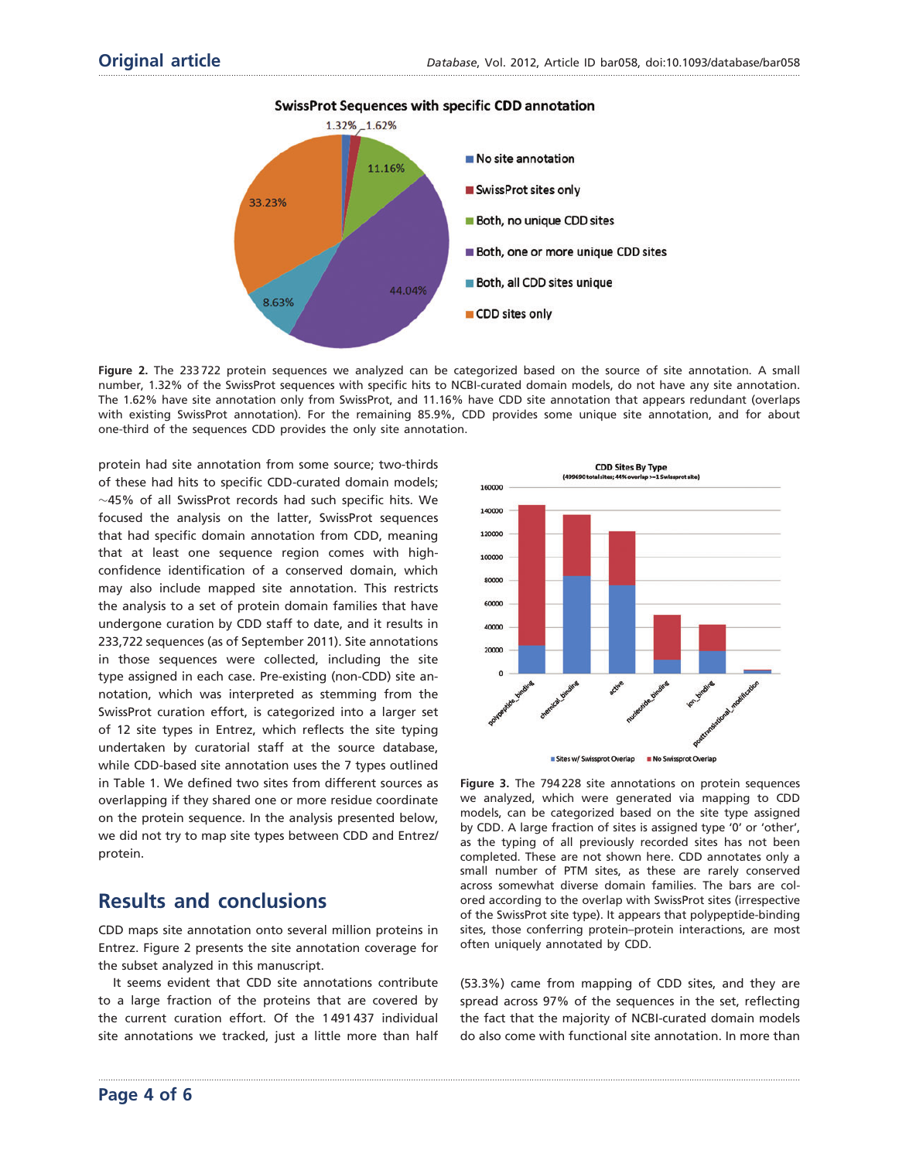<span id="page-3-0"></span>

#### **SwissProt Sequences with specific CDD annotation**

Figure 2. The 233 722 protein sequences we analyzed can be categorized based on the source of site annotation. A small number, 1.32% of the SwissProt sequences with specific hits to NCBI-curated domain models, do not have any site annotation. The 1.62% have site annotation only from SwissProt, and 11.16% have CDD site annotation that appears redundant (overlaps with existing SwissProt annotation). For the remaining 85.9%, CDD provides some unique site annotation, and for about one-third of the sequences CDD provides the only site annotation.

.............................................................................................................................................................................................................................................................................................

protein had site annotation from some source; two-thirds of these had hits to specific CDD-curated domain models;  $\sim$ 45% of all SwissProt records had such specific hits. We focused the analysis on the latter, SwissProt sequences that had specific domain annotation from CDD, meaning that at least one sequence region comes with highconfidence identification of a conserved domain, which may also include mapped site annotation. This restricts the analysis to a set of protein domain families that have undergone curation by CDD staff to date, and it results in 233,722 sequences (as of September 2011). Site annotations in those sequences were collected, including the site type assigned in each case. Pre-existing (non-CDD) site annotation, which was interpreted as stemming from the SwissProt curation effort, is categorized into a larger set of 12 site types in Entrez, which reflects the site typing undertaken by curatorial staff at the source database, while CDD-based site annotation uses the 7 types outlined in [Table 1.](#page-2-0) We defined two sites from different sources as overlapping if they shared one or more residue coordinate on the protein sequence. In the analysis presented below, we did not try to map site types between CDD and Entrez/ protein.

# Results and conclusions

CDD maps site annotation onto several million proteins in Entrez. Figure 2 presents the site annotation coverage for the subset analyzed in this manuscript.

It seems evident that CDD site annotations contribute to a large fraction of the proteins that are covered by the current curation effort. Of the 1 491 437 individual site annotations we tracked, just a little more than half



Figure 3. The 794 228 site annotations on protein sequences we analyzed, which were generated via mapping to CDD models, can be categorized based on the site type assigned by CDD. A large fraction of sites is assigned type '0' or 'other', as the typing of all previously recorded sites has not been completed. These are not shown here. CDD annotates only a small number of PTM sites, as these are rarely conserved across somewhat diverse domain families. The bars are colored according to the overlap with SwissProt sites (irrespective of the SwissProt site type). It appears that polypeptide-binding sites, those conferring protein–protein interactions, are most often uniquely annotated by CDD.

(53.3%) came from mapping of CDD sites, and they are spread across 97% of the sequences in the set, reflecting the fact that the majority of NCBI-curated domain models do also come with functional site annotation. In more than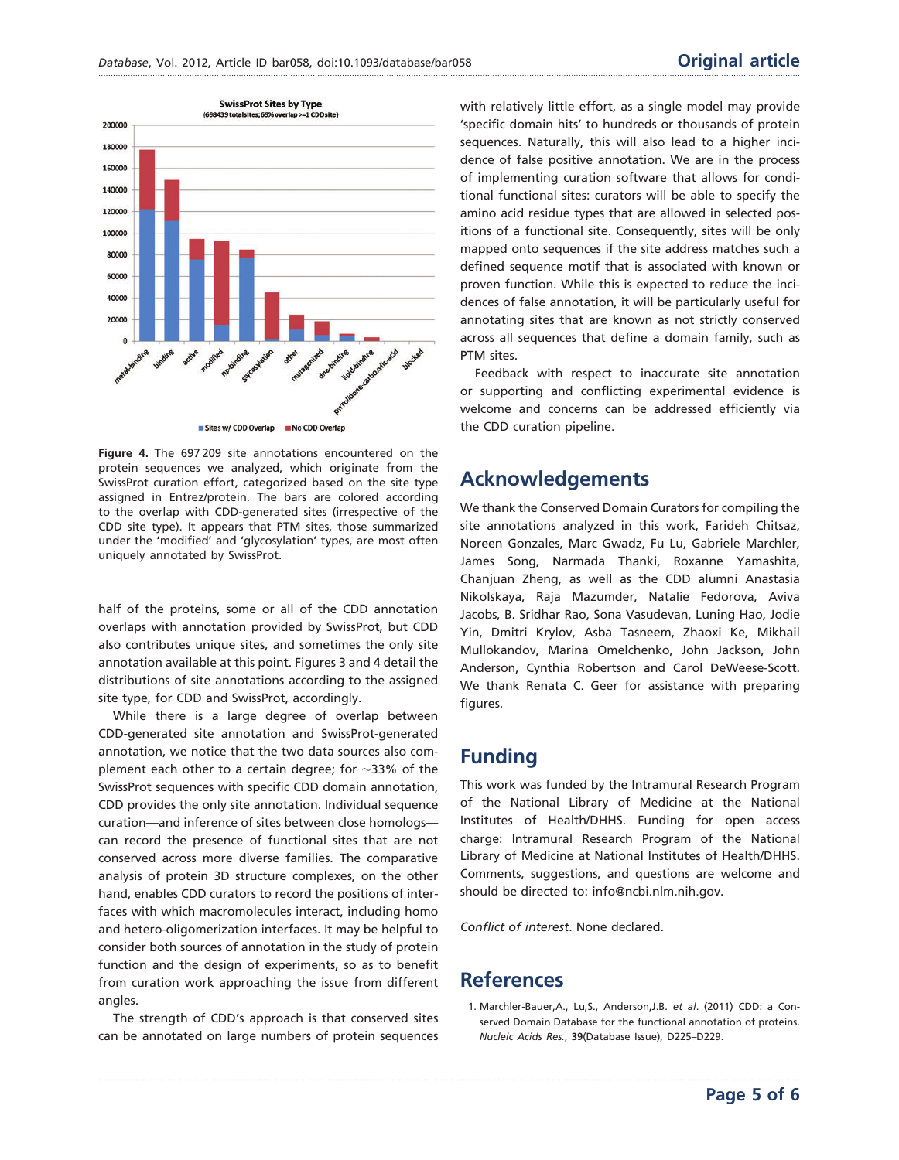<span id="page-4-0"></span>

Figure 4. The 697,209 site annotations encountered on the protein sequences we analyzed, which originate from the SwissProt curation effort, categorized based on the site type assigned in Entrez/protein. The bars are colored according to the overlap with CDD-generated sites (irrespective of the CDD site type). It appears that PTM sites, those summarized under the 'modified' and 'glycosylation' types, are most often uniquely annotated by SwissProt.

half of the proteins, some or all of the CDD annotation overlaps with annotation provided by SwissProt, but CDD also contributes unique sites, and sometimes the only site annotation available at this point. [Figures 3](#page-3-0) and 4 detail the distributions of site annotations according to the assigned site type, for CDD and SwissProt, accordingly.

While there is a large degree of overlap between CDD-generated site annotation and SwissProt-generated annotation, we notice that the two data sources also complement each other to a certain degree; for  $\sim$ 33% of the SwissProt sequences with specific CDD domain annotation, CDD provides the only site annotation. Individual sequence curation—and inference of sites between close homologs can record the presence of functional sites that are not conserved across more diverse families. The comparative analysis of protein 3D structure complexes, on the other hand, enables CDD curators to record the positions of interfaces with which macromolecules interact, including homo and hetero-oligomerization interfaces. It may be helpful to consider both sources of annotation in the study of protein function and the design of experiments, so as to benefit from curation work approaching the issue from different angles.

The strength of CDD's approach is that conserved sites can be annotated on large numbers of protein sequences with relatively little effort, as a single model may provide 'specific domain hits' to hundreds or thousands of protein sequences. Naturally, this will also lead to a higher incidence of false positive annotation. We are in the process of implementing curation software that allows for conditional functional sites: curators will be able to specify the amino acid residue types that are allowed in selected positions of a functional site. Consequently, sites will be only mapped onto sequences if the site address matches such a defined sequence motif that is associated with known or proven function. While this is expected to reduce the incidences of false annotation, it will be particularly useful for annotating sites that are known as not strictly conserved across all sequences that define a domain family, such as PTM sites.

Feedback with respect to inaccurate site annotation or supporting and conflicting experimental evidence is welcome and concerns can be addressed efficiently via the CDD curation pipeline.

# Acknowledgements

We thank the Conserved Domain Curators for compiling the site annotations analyzed in this work, Farideh Chitsaz, Noreen Gonzales, Marc Gwadz, Fu Lu, Gabriele Marchler, James Song, Narmada Thanki, Roxanne Yamashita, Chanjuan Zheng, as well as the CDD alumni Anastasia Nikolskaya, Raja Mazumder, Natalie Fedorova, Aviva Jacobs, B. Sridhar Rao, Sona Vasudevan, Luning Hao, Jodie Yin, Dmitri Krylov, Asba Tasneem, Zhaoxi Ke, Mikhail Mullokandov, Marina Omelchenko, John Jackson, John Anderson, Cynthia Robertson and Carol DeWeese-Scott. We thank Renata C. Geer for assistance with preparing figures.

# Funding

This work was funded by the Intramural Research Program of the National Library of Medicine at the National Institutes of Health/DHHS. Funding for open access charge: Intramural Research Program of the National Library of Medicine at National Institutes of Health/DHHS. Comments, suggestions, and questions are welcome and should be directed to: info@ncbi.nlm.nih.gov.

Conflict of interest. None declared.

### References

.............................................................................................................................................................................................................................................................................................

1. Marchler-Bauer,A., Lu,S., Anderson,J.B. et al. (2011) CDD: a Conserved Domain Database for the functional annotation of proteins. Nucleic Acids Res., 39(Database Issue), D225–D229.